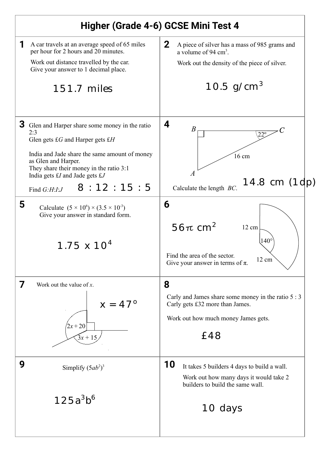